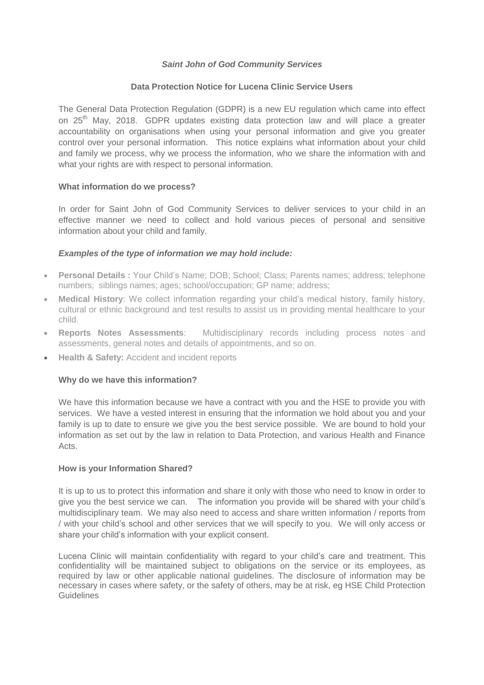## *Saint John of God Community Services*

#### **Data Protection Notice for Lucena Clinic Service Users**

The General Data Protection Regulation (GDPR) is a new EU regulation which came into effect on 25<sup>th</sup> May, 2018. GDPR updates existing data protection law and will place a greater accountability on organisations when using your personal information and give you greater control over your personal information. This notice explains what information about your child and family we process, why we process the information, who we share the information with and what your rights are with respect to personal information.

#### **What information do we process?**

In order for Saint John of God Community Services to deliver services to your child in an effective manner we need to collect and hold various pieces of personal and sensitive information about your child and family.

## *Examples of the type of information we may hold include:*

- **Personal Details :** Your Child's Name; DOB; School; Class; Parents names; address; telephone numbers; siblings names; ages; school/occupation; GP name; address;
- **Medical History**: We collect information regarding your child's medical history, family history, cultural or ethnic background and test results to assist us in providing mental healthcare to your child.
- **Reports Notes Assessments**: Multidisciplinary records including process notes and assessments, general notes and details of appointments, and so on.
- **Health & Safety: Accident and incident reports**

#### **Why do we have this information?**

We have this information because we have a contract with you and the HSE to provide you with services. We have a vested interest in ensuring that the information we hold about you and your family is up to date to ensure we give you the best service possible. We are bound to hold your information as set out by the law in relation to Data Protection, and various Health and Finance Acts.

#### **How is your Information Shared?**

It is up to us to protect this information and share it only with those who need to know in order to give you the best service we can. The information you provide will be shared with your child's multidisciplinary team. We may also need to access and share written information / reports from / with your child's school and other services that we will specify to you. We will only access or share your child's information with your explicit consent.

Lucena Clinic will maintain confidentiality with regard to your child's care and treatment. This confidentiality will be maintained subject to obligations on the service or its employees, as required by law or other applicable national guidelines. The disclosure of information may be necessary in cases where safety, or the safety of others, may be at risk, eg HSE Child Protection **Guidelines**